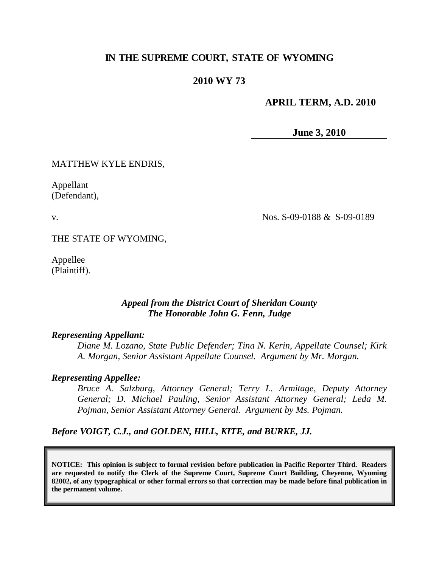# **IN THE SUPREME COURT, STATE OF WYOMING**

## **2010 WY 73**

### **APRIL TERM, A.D. 2010**

**June 3, 2010**

MATTHEW KYLE ENDRIS,

Appellant (Defendant),

v.

Nos. S-09-0188 & S-09-0189

THE STATE OF WYOMING,

Appellee (Plaintiff).

### *Appeal from the District Court of Sheridan County The Honorable John G. Fenn, Judge*

#### *Representing Appellant:*

*Diane M. Lozano, State Public Defender; Tina N. Kerin, Appellate Counsel; Kirk A. Morgan, Senior Assistant Appellate Counsel. Argument by Mr. Morgan.*

#### *Representing Appellee:*

*Bruce A. Salzburg, Attorney General; Terry L. Armitage, Deputy Attorney General; D. Michael Pauling, Senior Assistant Attorney General; Leda M. Pojman, Senior Assistant Attorney General. Argument by Ms. Pojman.*

*Before VOIGT, C.J., and GOLDEN, HILL, KITE, and BURKE, JJ.*

**NOTICE: This opinion is subject to formal revision before publication in Pacific Reporter Third. Readers are requested to notify the Clerk of the Supreme Court, Supreme Court Building, Cheyenne, Wyoming 82002, of any typographical or other formal errors so that correction may be made before final publication in the permanent volume.**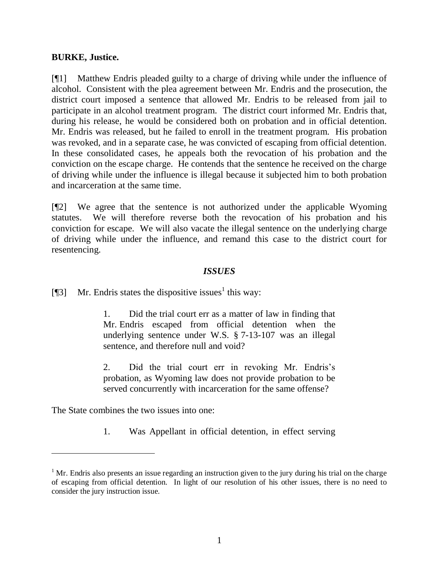#### **BURKE, Justice.**

[¶1] Matthew Endris pleaded guilty to a charge of driving while under the influence of alcohol. Consistent with the plea agreement between Mr. Endris and the prosecution, the district court imposed a sentence that allowed Mr. Endris to be released from jail to participate in an alcohol treatment program. The district court informed Mr. Endris that, during his release, he would be considered both on probation and in official detention. Mr. Endris was released, but he failed to enroll in the treatment program. His probation was revoked, and in a separate case, he was convicted of escaping from official detention. In these consolidated cases, he appeals both the revocation of his probation and the conviction on the escape charge. He contends that the sentence he received on the charge of driving while under the influence is illegal because it subjected him to both probation and incarceration at the same time.

[¶2] We agree that the sentence is not authorized under the applicable Wyoming statutes. We will therefore reverse both the revocation of his probation and his conviction for escape. We will also vacate the illegal sentence on the underlying charge of driving while under the influence, and remand this case to the district court for resentencing.

#### *ISSUES*

[¶3] Mr. Endris states the dispositive issues<sup>1</sup> this way:

1. Did the trial court err as a matter of law in finding that Mr. Endris escaped from official detention when the underlying sentence under W.S. § 7-13-107 was an illegal sentence, and therefore null and void?

2. Did the trial court err in revoking Mr. Endris"s probation, as Wyoming law does not provide probation to be served concurrently with incarceration for the same offense?

The State combines the two issues into one:

 $\overline{a}$ 

1. Was Appellant in official detention, in effect serving

 $1$  Mr. Endris also presents an issue regarding an instruction given to the jury during his trial on the charge of escaping from official detention. In light of our resolution of his other issues, there is no need to consider the jury instruction issue.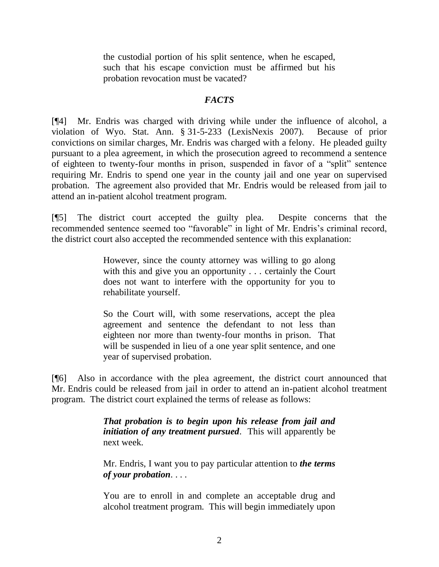the custodial portion of his split sentence, when he escaped, such that his escape conviction must be affirmed but his probation revocation must be vacated?

# *FACTS*

[¶4] Mr. Endris was charged with driving while under the influence of alcohol, a violation of Wyo. Stat. Ann. § 31-5-233 (LexisNexis 2007). Because of prior convictions on similar charges, Mr. Endris was charged with a felony. He pleaded guilty pursuant to a plea agreement, in which the prosecution agreed to recommend a sentence of eighteen to twenty-four months in prison, suspended in favor of a "split" sentence requiring Mr. Endris to spend one year in the county jail and one year on supervised probation. The agreement also provided that Mr. Endris would be released from jail to attend an in-patient alcohol treatment program.

[¶5] The district court accepted the guilty plea. Despite concerns that the recommended sentence seemed too "favorable" in light of Mr. Endris's criminal record, the district court also accepted the recommended sentence with this explanation:

> However, since the county attorney was willing to go along with this and give you an opportunity . . . certainly the Court does not want to interfere with the opportunity for you to rehabilitate yourself.

> So the Court will, with some reservations, accept the plea agreement and sentence the defendant to not less than eighteen nor more than twenty-four months in prison. That will be suspended in lieu of a one year split sentence, and one year of supervised probation.

[¶6] Also in accordance with the plea agreement, the district court announced that Mr. Endris could be released from jail in order to attend an in-patient alcohol treatment program. The district court explained the terms of release as follows:

> *That probation is to begin upon his release from jail and initiation of any treatment pursued*. This will apparently be next week.

> Mr. Endris, I want you to pay particular attention to *the terms of your probation*. . . .

> You are to enroll in and complete an acceptable drug and alcohol treatment program. This will begin immediately upon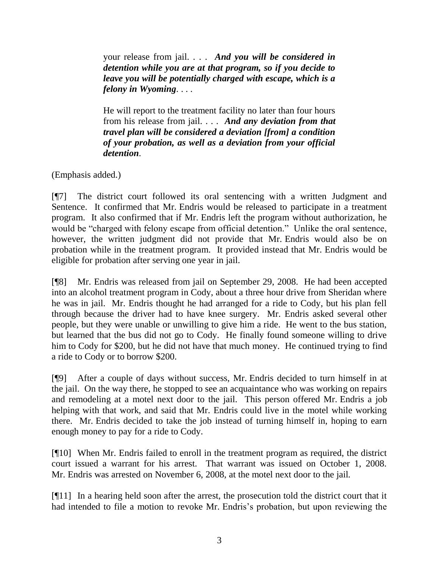your release from jail. . . . *And you will be considered in detention while you are at that program, so if you decide to leave you will be potentially charged with escape, which is a felony in Wyoming*. . . .

He will report to the treatment facility no later than four hours from his release from jail. . . . *And any deviation from that travel plan will be considered a deviation [from] a condition of your probation, as well as a deviation from your official detention*.

(Emphasis added.)

[¶7] The district court followed its oral sentencing with a written Judgment and Sentence. It confirmed that Mr. Endris would be released to participate in a treatment program. It also confirmed that if Mr. Endris left the program without authorization, he would be "charged with felony escape from official detention." Unlike the oral sentence, however, the written judgment did not provide that Mr. Endris would also be on probation while in the treatment program. It provided instead that Mr. Endris would be eligible for probation after serving one year in jail.

[¶8] Mr. Endris was released from jail on September 29, 2008. He had been accepted into an alcohol treatment program in Cody, about a three hour drive from Sheridan where he was in jail. Mr. Endris thought he had arranged for a ride to Cody, but his plan fell through because the driver had to have knee surgery. Mr. Endris asked several other people, but they were unable or unwilling to give him a ride. He went to the bus station, but learned that the bus did not go to Cody. He finally found someone willing to drive him to Cody for \$200, but he did not have that much money. He continued trying to find a ride to Cody or to borrow \$200.

[¶9] After a couple of days without success, Mr. Endris decided to turn himself in at the jail. On the way there, he stopped to see an acquaintance who was working on repairs and remodeling at a motel next door to the jail. This person offered Mr. Endris a job helping with that work, and said that Mr. Endris could live in the motel while working there. Mr. Endris decided to take the job instead of turning himself in, hoping to earn enough money to pay for a ride to Cody.

[¶10] When Mr. Endris failed to enroll in the treatment program as required, the district court issued a warrant for his arrest. That warrant was issued on October 1, 2008. Mr. Endris was arrested on November 6, 2008, at the motel next door to the jail.

[¶11] In a hearing held soon after the arrest, the prosecution told the district court that it had intended to file a motion to revoke Mr. Endris's probation, but upon reviewing the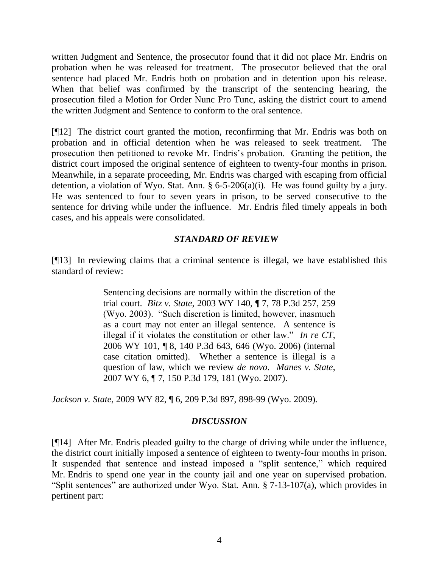written Judgment and Sentence, the prosecutor found that it did not place Mr. Endris on probation when he was released for treatment. The prosecutor believed that the oral sentence had placed Mr. Endris both on probation and in detention upon his release. When that belief was confirmed by the transcript of the sentencing hearing, the prosecution filed a Motion for Order Nunc Pro Tunc, asking the district court to amend the written Judgment and Sentence to conform to the oral sentence.

[¶12] The district court granted the motion, reconfirming that Mr. Endris was both on probation and in official detention when he was released to seek treatment. The prosecution then petitioned to revoke Mr. Endris"s probation. Granting the petition, the district court imposed the original sentence of eighteen to twenty-four months in prison. Meanwhile, in a separate proceeding, Mr. Endris was charged with escaping from official detention, a violation of Wyo. Stat. Ann.  $\S 6$ -5-206(a)(i). He was found guilty by a jury. He was sentenced to four to seven years in prison, to be served consecutive to the sentence for driving while under the influence. Mr. Endris filed timely appeals in both cases, and his appeals were consolidated.

### *STANDARD OF REVIEW*

[¶13] In reviewing claims that a criminal sentence is illegal, we have established this standard of review:

> Sentencing decisions are normally within the discretion of the trial court. *Bitz v. State*, 2003 WY 140, ¶ 7, 78 P.3d 257, 259 (Wyo. 2003). "Such discretion is limited, however, inasmuch as a court may not enter an illegal sentence. A sentence is illegal if it violates the constitution or other law." *In re CT*, 2006 WY 101, ¶ 8, 140 P.3d 643, 646 (Wyo. 2006) (internal case citation omitted). Whether a sentence is illegal is a question of law, which we review *de novo*. *Manes v. State*, 2007 WY 6, ¶ 7, 150 P.3d 179, 181 (Wyo. 2007).

*Jackson v. State*, 2009 WY 82, ¶ 6, 209 P.3d 897, 898-99 (Wyo. 2009).

### *DISCUSSION*

[¶14] After Mr. Endris pleaded guilty to the charge of driving while under the influence, the district court initially imposed a sentence of eighteen to twenty-four months in prison. It suspended that sentence and instead imposed a "split sentence," which required Mr. Endris to spend one year in the county jail and one year on supervised probation. "Split sentences" are authorized under Wyo. Stat. Ann. § 7-13-107(a), which provides in pertinent part: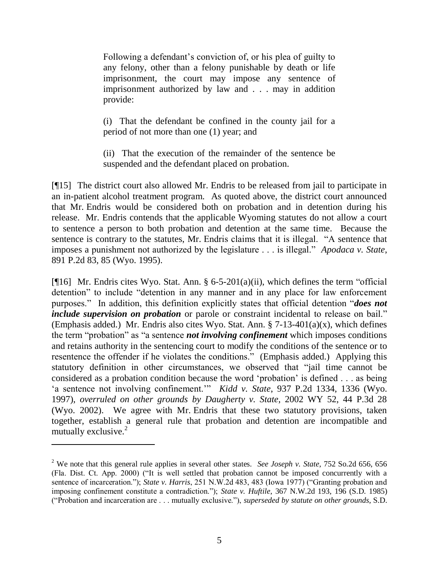Following a defendant"s conviction of, or his plea of guilty to any felony, other than a felony punishable by death or life imprisonment, the court may impose any sentence of imprisonment authorized by law and . . . may in addition provide:

(i) That the defendant be confined in the county jail for a period of not more than one (1) year; and

(ii) That the execution of the remainder of the sentence be suspended and the defendant placed on probation.

[¶15] The district court also allowed Mr. Endris to be released from jail to participate in an in-patient alcohol treatment program. As quoted above, the district court announced that Mr. Endris would be considered both on probation and in detention during his release. Mr. Endris contends that the applicable Wyoming statutes do not allow a court to sentence a person to both probation and detention at the same time. Because the sentence is contrary to the statutes, Mr. Endris claims that it is illegal. "A sentence that imposes a punishment not authorized by the legislature . . . is illegal." *Apodaca v. State*, 891 P.2d 83, 85 (Wyo. 1995).

[¶16] Mr. Endris cites Wyo. Stat. Ann. § 6-5-201(a)(ii), which defines the term "official detention" to include "detention in any manner and in any place for law enforcement purposes." In addition, this definition explicitly states that official detention "*does not include supervision on probation* or parole or constraint incidental to release on bail." (Emphasis added.) Mr. Endris also cites Wyo. Stat. Ann.  $\S$  7-13-401(a)(x), which defines the term "probation" as "a sentence *not involving confinement* which imposes conditions and retains authority in the sentencing court to modify the conditions of the sentence or to resentence the offender if he violates the conditions." (Emphasis added.) Applying this statutory definition in other circumstances, we observed that "jail time cannot be considered as a probation condition because the word "probation" is defined . . . as being 'a sentence not involving confinement."" *Kidd v. State*, 937 P.2d 1334, 1336 (Wyo. 1997), *overruled on other grounds by Daugherty v. State*, 2002 WY 52, 44 P.3d 28 (Wyo. 2002). We agree with Mr. Endris that these two statutory provisions, taken together, establish a general rule that probation and detention are incompatible and mutually exclusive. $2$ 

 $\overline{a}$ 

<sup>2</sup> We note that this general rule applies in several other states. *See Joseph v. State*, 752 So.2d 656, 656 (Fla. Dist. Ct. App. 2000) ("It is well settled that probation cannot be imposed concurrently with a sentence of incarceration."); *State v. Harris*, 251 N.W.2d 483, 483 (Iowa 1977) ("Granting probation and imposing confinement constitute a contradiction."); *State v. Huftile*, 367 N.W.2d 193, 196 (S.D. 1985) ("Probation and incarceration are . . . mutually exclusive."), *superseded by statute on other grounds*, S.D.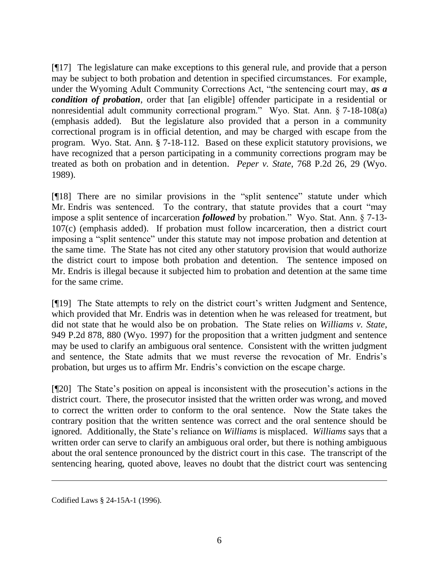[¶17] The legislature can make exceptions to this general rule, and provide that a person may be subject to both probation and detention in specified circumstances. For example, under the Wyoming Adult Community Corrections Act, "the sentencing court may, *as a condition of probation*, order that [an eligible] offender participate in a residential or nonresidential adult community correctional program." Wyo. Stat. Ann. § 7-18-108(a) (emphasis added). But the legislature also provided that a person in a community correctional program is in official detention, and may be charged with escape from the program. Wyo. Stat. Ann. § 7-18-112. Based on these explicit statutory provisions, we have recognized that a person participating in a community corrections program may be treated as both on probation and in detention. *Peper v. State*, 768 P.2d 26, 29 (Wyo. 1989).

[¶18] There are no similar provisions in the "split sentence" statute under which Mr. Endris was sentenced. To the contrary, that statute provides that a court "may impose a split sentence of incarceration *followed* by probation." Wyo. Stat. Ann. § 7-13- 107(c) (emphasis added). If probation must follow incarceration, then a district court imposing a "split sentence" under this statute may not impose probation and detention at the same time. The State has not cited any other statutory provision that would authorize the district court to impose both probation and detention. The sentence imposed on Mr. Endris is illegal because it subjected him to probation and detention at the same time for the same crime.

[¶19] The State attempts to rely on the district court's written Judgment and Sentence, which provided that Mr. Endris was in detention when he was released for treatment, but did not state that he would also be on probation. The State relies on *Williams v. State*, 949 P.2d 878, 880 (Wyo. 1997) for the proposition that a written judgment and sentence may be used to clarify an ambiguous oral sentence. Consistent with the written judgment and sentence, the State admits that we must reverse the revocation of Mr. Endris"s probation, but urges us to affirm Mr. Endris's conviction on the escape charge.

[¶20] The State's position on appeal is inconsistent with the prosecution's actions in the district court. There, the prosecutor insisted that the written order was wrong, and moved to correct the written order to conform to the oral sentence. Now the State takes the contrary position that the written sentence was correct and the oral sentence should be ignored. Additionally, the State"s reliance on *Williams* is misplaced. *Williams* says that a written order can serve to clarify an ambiguous oral order, but there is nothing ambiguous about the oral sentence pronounced by the district court in this case. The transcript of the sentencing hearing, quoted above, leaves no doubt that the district court was sentencing

Codified Laws § 24-15A-1 (1996).